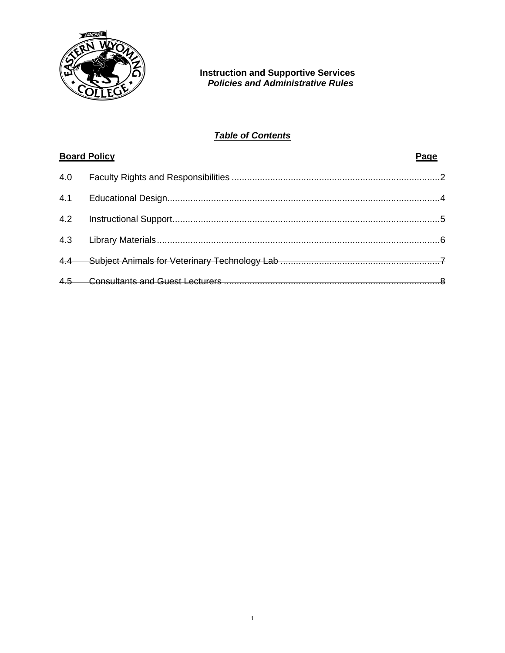

# *Table of Contents*

|     | <b>Board Policy</b> | Page |
|-----|---------------------|------|
| 4.0 |                     |      |
| 4.1 |                     |      |
| 4.2 |                     |      |
|     |                     |      |
|     |                     |      |
|     |                     |      |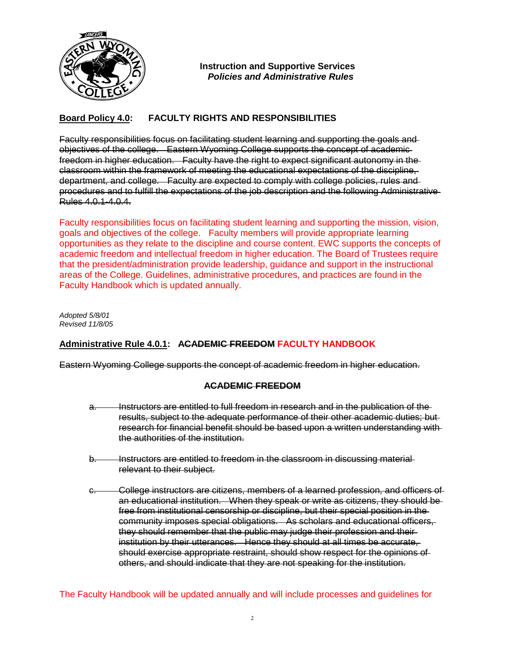

# **Board Policy 4.0: FACULTY RIGHTS AND RESPONSIBILITIES**

Faculty responsibilities focus on facilitating student learning and supporting the goals and objectives of the college. Eastern Wyoming College supports the concept of academic freedom in higher education. Faculty have the right to expect significant autonomy in the classroom within the framework of meeting the educational expectations of the discipline, department, and college. Faculty are expected to comply with college policies, rules and procedures and to fulfill the expectations of the job description and the following Administrative Rules 4.0.1-4.0.4.

Faculty responsibilities focus on facilitating student learning and supporting the mission, vision, goals and objectives of the college. Faculty members will provide appropriate learning opportunities as they relate to the discipline and course content. EWC supports the concepts of academic freedom and intellectual freedom in higher education. The Board of Trustees require that the president/administration provide leadership, guidance and support in the instructional areas of the College. Guidelines, administrative procedures, and practices are found in the Faculty Handbook which is updated annually.

*Adopted 5/8/01 Revised 11/8/05*

# **Administrative Rule 4.0.1: ACADEMIC FREEDOM FACULTY HANDBOOK**

Eastern Wyoming College supports the concept of academic freedom in higher education.

#### **ACADEMIC FREEDOM**

- a. Instructors are entitled to full freedom in research and in the publication of the results, subject to the adequate performance of their other academic duties; but research for financial benefit should be based upon a written understanding with the authorities of the institution.
- b. Instructors are entitled to freedom in the classroom in discussing material relevant to their subject.
- c. College instructors are citizens, members of a learned profession, and officers of an educational institution. When they speak or write as citizens, they should be free from institutional censorship or discipline, but their special position in the community imposes special obligations. As scholars and educational officers, they should remember that the public may judge their profession and their institution by their utterances. Hence they should at all times be accurate, should exercise appropriate restraint, should show respect for the opinions of others, and should indicate that they are not speaking for the institution.

The Faculty Handbook will be updated annually and will include processes and guidelines for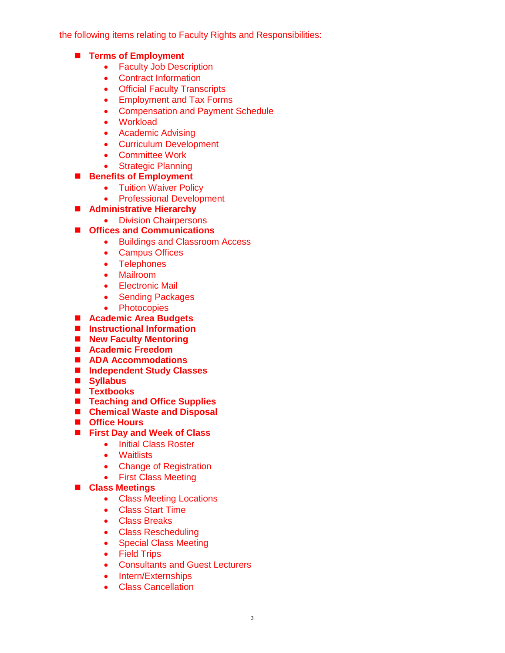the following items relating to Faculty Rights and Responsibilities:

#### **Terms of Employment**

- Faculty Job Description
- Contract Information
- Official Faculty Transcripts
- **Employment and Tax Forms**
- Compensation and Payment Schedule
- Workload
- Academic Advising
- Curriculum Development
- Committee Work
- Strategic Planning

# **Benefits of Employment**

- Tuition Waiver Policy
- Professional Development

# **Administrative Hierarchy**

• Division Chairpersons

# **Offices and Communications**

- **•** Buildings and Classroom Access
	- Campus Offices
	- Telephones
	- Mailroom
	- Electronic Mail
	- Sending Packages
	- Photocopies

### **Academic Area Budgets**

- **Instructional Information**
- **New Faculty Mentoring**
- **Academic Freedom**
- **ADA Accommodations**
- **Independent Study Classes**
- **Syllabus**
- **Textbooks**
- Teaching and Office Supplies
- **Chemical Waste and Disposal**
- **Office Hours**
- **First Day and Week of Class**
	- Initial Class Roster
		- Waitlists
	- Change of Registration
	- First Class Meeting

#### **Class Meetings**

- Class Meeting Locations
- Class Start Time
- Class Breaks
- Class Rescheduling
- Special Class Meeting
- Field Trips
- Consultants and Guest Lecturers
- Intern/Externships
- Class Cancellation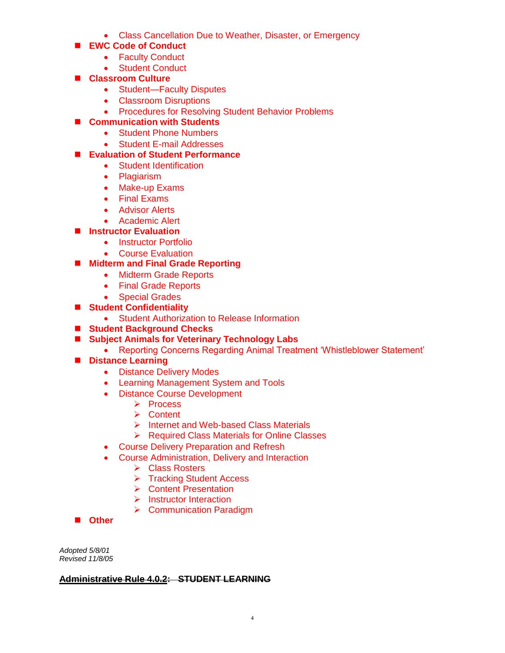Class Cancellation Due to Weather, Disaster, or Emergency

# ■ **EWC Code of Conduct**

- Faculty Conduct
- Student Conduct
- **Classroom Culture**
	- Student-Faculty Disputes
	- Classroom Disruptions
	- Procedures for Resolving Student Behavior Problems
- Communication with Students
	- Student Phone Numbers
	- Student E-mail Addresses

# **Evaluation of Student Performance**

- Student Identification
- Plagiarism
- Make-up Exams
- Final Exams
- **•** Advisor Alerts
- Academic Alert

### **Instructor Evaluation**

- Instructor Portfolio
- Course Evaluation

# **Midterm and Final Grade Reporting**

- Midterm Grade Reports
- Final Grade Reports
- Special Grades
- **E** Student Confidentiality
	- Student Authorization to Release Information
- Student Background Checks

# ■ Subject Animals for Veterinary Technology Labs

Reporting Concerns Regarding Animal Treatment 'Whistleblower Statement'

# ■ Distance Learning

- Distance Delivery Modes
- **Learning Management System and Tools**
- Distance Course Development
	- $\triangleright$  Process
	- **▶ Content**
	- Internet and Web-based Class Materials
	- ▶ Required Class Materials for Online Classes
- **Course Delivery Preparation and Refresh**
- Course Administration, Delivery and Interaction
	- **▶ Class Rosters**
	- **▶ Tracking Student Access**
	- **▶ Content Presentation**
	- $\triangleright$  Instructor Interaction
	- $\triangleright$  Communication Paradigm

#### **Other**

*Adopted 5/8/01 Revised 11/8/05*

#### **Administrative Rule 4.0.2: STUDENT LEARNING**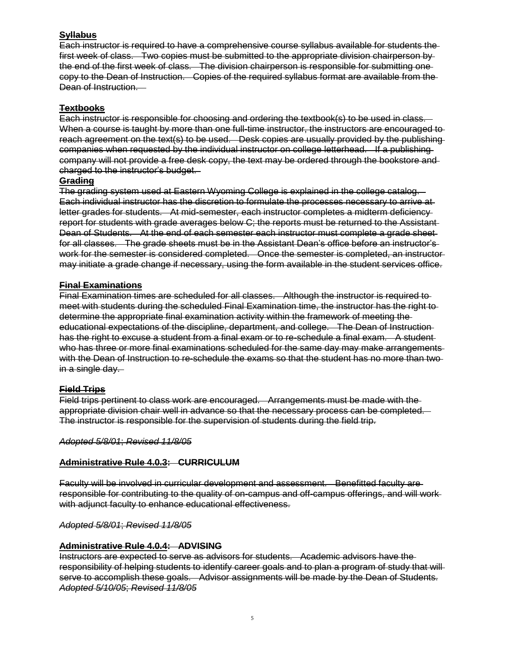#### **Syllabus**

Each instructor is required to have a comprehensive course syllabus available for students the first week of class. Two copies must be submitted to the appropriate division chairperson by the end of the first week of class. The division chairperson is responsible for submitting one copy to the Dean of Instruction. Copies of the required syllabus format are available from the Dean of Instruction.

#### **Textbooks**

Each instructor is responsible for choosing and ordering the textbook(s) to be used in class. When a course is taught by more than one full-time instructor, the instructors are encouraged to reach agreement on the text(s) to be used. Desk copies are usually provided by the publishing companies when requested by the individual instructor on college letterhead. If a publishing company will not provide a free desk copy, the text may be ordered through the bookstore and charged to the instructor's budget.

#### **Grading**

The grading system used at Eastern Wyoming College is explained in the college catalog. Each individual instructor has the discretion to formulate the processes necessary to arrive at letter grades for students. At mid-semester, each instructor completes a midterm deficiency report for students with grade averages below C; the reports must be returned to the Assistant Dean of Students. At the end of each semester each instructor must complete a grade sheet for all classes. The grade sheets must be in the Assistant Dean's office before an instructor's work for the semester is considered completed. Once the semester is completed, an instructormay initiate a grade change if necessary, using the form available in the student services office.

#### **Final Examinations**

Final Examination times are scheduled for all classes. Although the instructor is required to meet with students during the scheduled Final Examination time, the instructor has the right to determine the appropriate final examination activity within the framework of meeting the educational expectations of the discipline, department, and college. The Dean of Instruction has the right to excuse a student from a final exam or to re-schedule a final exam. A studentwho has three or more final examinations scheduled for the same day may make arrangements with the Dean of Instruction to re-schedule the exams so that the student has no more than twoin a single day.

#### **Field Trips**

Field trips pertinent to class work are encouraged. Arrangements must be made with the appropriate division chair well in advance so that the necessary process can be completed. The instructor is responsible for the supervision of students during the field trip.

*Adopted 5/8/01*; *Revised 11/8/05*

#### **Administrative Rule 4.0.3: CURRICULUM**

Faculty will be involved in curricular development and assessment. Benefitted faculty are responsible for contributing to the quality of on-campus and off-campus offerings, and will work with adjunct faculty to enhance educational effectiveness.

*Adopted 5/8/01*; *Revised 11/8/05*

#### **Administrative Rule 4.0.4: ADVISING**

Instructors are expected to serve as advisors for students. Academic advisors have the responsibility of helping students to identify career goals and to plan a program of study that willserve to accomplish these goals. Advisor assignments will be made by the Dean of Students. *Adopted 5/10/05*; *Revised 11/8/05*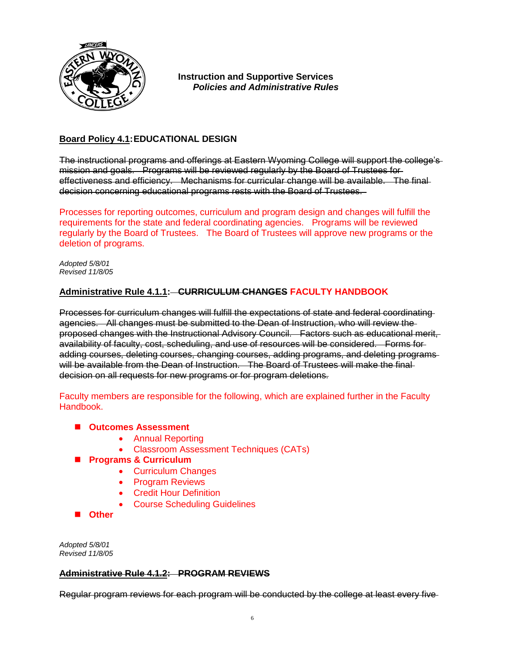

# **Board Policy 4.1:EDUCATIONAL DESIGN**

The instructional programs and offerings at Eastern Wyoming College will support the college's mission and goals. Programs will be reviewed regularly by the Board of Trustees for effectiveness and efficiency. Mechanisms for curricular change will be available. The final decision concerning educational programs rests with the Board of Trustees.

Processes for reporting outcomes, curriculum and program design and changes will fulfill the requirements for the state and federal coordinating agencies. Programs will be reviewed regularly by the Board of Trustees. The Board of Trustees will approve new programs or the deletion of programs.

*Adopted 5/8/01 Revised 11/8/05*

#### **Administrative Rule 4.1.1: CURRICULUM CHANGES FACULTY HANDBOOK**

Processes for curriculum changes will fulfill the expectations of state and federal coordinating agencies. All changes must be submitted to the Dean of Instruction, who will review the proposed changes with the Instructional Advisory Council. Factors such as educational merit, availability of faculty, cost, scheduling, and use of resources will be considered. Forms for adding courses, deleting courses, changing courses, adding programs, and deleting programs will be available from the Dean of Instruction. The Board of Trustees will make the finaldecision on all requests for new programs or for program deletions.

Faculty members are responsible for the following, which are explained further in the Faculty Handbook.

- Outcomes Assessment
	- Annual Reporting
	- Classroom Assessment Techniques (CATs)
- **Programs & Curriculum** 
	- Curriculum Changes
	- Program Reviews
	- Credit Hour Definition
	- Course Scheduling Guidelines

**Other**

*Adopted 5/8/01 Revised 11/8/05*

#### **Administrative Rule 4.1.2: PROGRAM REVIEWS**

Regular program reviews for each program will be conducted by the college at least every five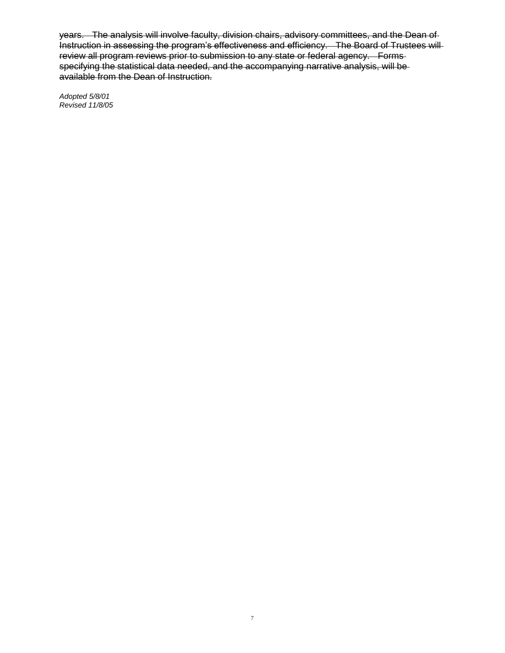years. The analysis will involve faculty, division chairs, advisory committees, and the Dean of Instruction in assessing the program's effectiveness and efficiency. The Board of Trustees will review all program reviews prior to submission to any state or federal agency. Forms specifying the statistical data needed, and the accompanying narrative analysis, will be available from the Dean of Instruction.

*Adopted 5/8/01 Revised 11/8/05*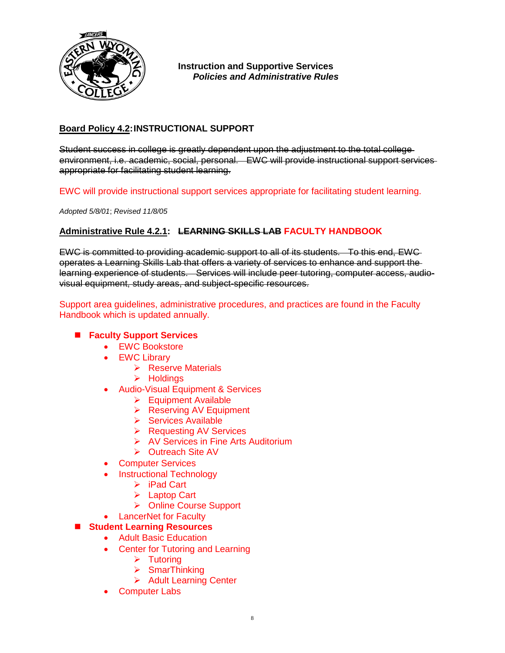

# **Board Policy 4.2:INSTRUCTIONAL SUPPORT**

Student success in college is greatly dependent upon the adjustment to the total college environment, i.e. academic, social, personal. EWC will provide instructional support services appropriate for facilitating student learning.

#### EWC will provide instructional support services appropriate for facilitating student learning.

*Adopted 5/8/01*; *Revised 11/8/05*

# **Administrative Rule 4.2.1: LEARNING SKILLS LAB FACULTY HANDBOOK**

EWC is committed to providing academic support to all of its students. To this end, EWC operates a Learning Skills Lab that offers a variety of services to enhance and support the learning experience of students. Services will include peer tutoring, computer access, audiovisual equipment, study areas, and subject-specific resources.

Support area guidelines, administrative procedures, and practices are found in the Faculty Handbook which is updated annually.

#### **Faculty Support Services**

- EWC Bookstore
- EWC Library
	- $\triangleright$  Reserve Materials
	- > Holdings
- Audio-Visual Equipment & Services
	- $\triangleright$  Equipment Available
	- $\triangleright$  Reserving AV Equipment
	- $\triangleright$  Services Available
	- **EXECUTE: Requesting AV Services**
	- $\triangleright$  AV Services in Fine Arts Auditorium
	- **►** Outreach Site AV
- Computer Services
- Instructional Technology
	- $\triangleright$  iPad Cart
	- **►** Laptop Cart
	- **▶ Online Course Support**
- LancerNet for Faculty
- **Student Learning Resources**
	- Adult Basic Education
	- Center for Tutoring and Learning
		- $\triangleright$  Tutoring
		- $\triangleright$  SmarThinking
		- **▶ Adult Learning Center**
	- Computer Labs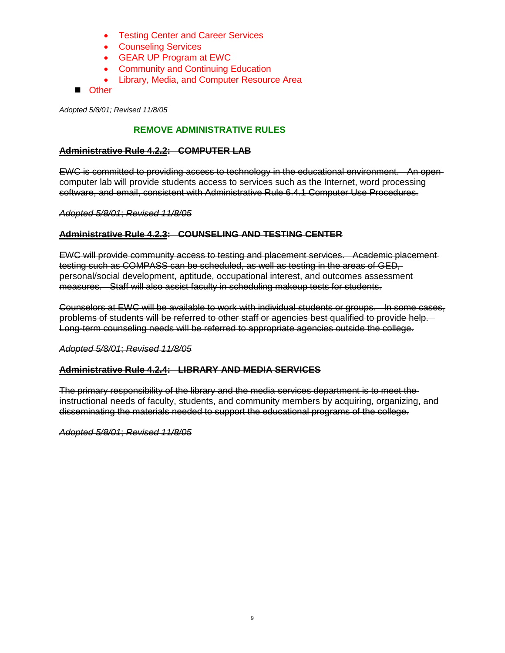- Testing Center and Career Services
- Counseling Services
- GEAR UP Program at EWC
- Community and Continuing Education
- Library, Media, and Computer Resource Area

**D** Other

*Adopted 5/8/01; Revised 11/8/05*

### **REMOVE ADMINISTRATIVE RULES**

#### **Administrative Rule 4.2.2: COMPUTER LAB**

EWC is committed to providing access to technology in the educational environment. An open computer lab will provide students access to services such as the Internet, word processing software, and email, consistent with Administrative Rule 6.4.1 Computer Use Procedures.

*Adopted 5/8/01*; *Revised 11/8/05*

#### **Administrative Rule 4.2.3: COUNSELING AND TESTING CENTER**

EWC will provide community access to testing and placement services. Academic placement testing such as COMPASS can be scheduled, as well as testing in the areas of GED, personal/social development, aptitude, occupational interest, and outcomes assessment measures. Staff will also assist faculty in scheduling makeup tests for students.

Counselors at EWC will be available to work with individual students or groups. In some cases, problems of students will be referred to other staff or agencies best qualified to provide help. Long-term counseling needs will be referred to appropriate agencies outside the college.

*Adopted 5/8/01*; *Revised 11/8/05*

#### **Administrative Rule 4.2.4: LIBRARY AND MEDIA SERVICES**

The primary responsibility of the library and the media services department is to meet the instructional needs of faculty, students, and community members by acquiring, organizing, and disseminating the materials needed to support the educational programs of the college.

*Adopted 5/8/01*; *Revised 11/8/05*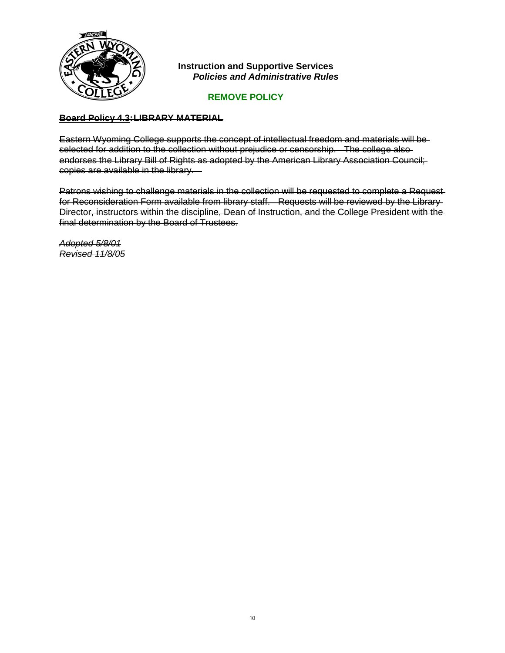

# **REMOVE POLICY**

### **Board Policy 4.3:LIBRARY MATERIAL**

Eastern Wyoming College supports the concept of intellectual freedom and materials will be selected for addition to the collection without prejudice or censorship. The college alsoendorses the Library Bill of Rights as adopted by the American Library Association Council; copies are available in the library.

Patrons wishing to challenge materials in the collection will be requested to complete a Requestfor Reconsideration Form available from library staff. Requests will be reviewed by the Library Director, instructors within the discipline, Dean of Instruction, and the College President with the final determination by the Board of Trustees.

*Adopted 5/8/01 Revised 11/8/05*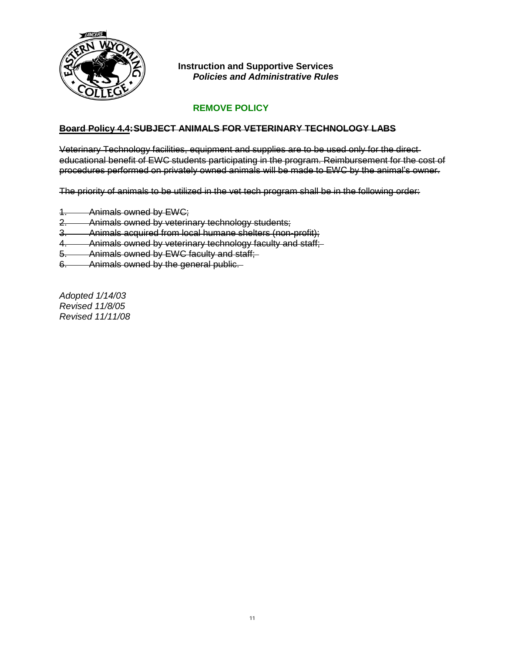

### **REMOVE POLICY**

#### **Board Policy 4.4:SUBJECT ANIMALS FOR VETERINARY TECHNOLOGY LABS**

Veterinary Technology facilities, equipment and supplies are to be used only for the direct educational benefit of EWC students participating in the program. Reimbursement for the cost of procedures performed on privately owned animals will be made to EWC by the animal's owner.

The priority of animals to be utilized in the vet tech program shall be in the following order:

- 1. Animals owned by EWC;
- 2. Animals owned by veterinary technology students;
- 3. Animals acquired from local humane shelters (non-profit);
- 4. Animals owned by veterinary technology faculty and staff;
- 5. Animals owned by EWC faculty and staff;
- 6. Animals owned by the general public.

*Adopted 1/14/03 Revised 11/8/05 Revised 11/11/08*